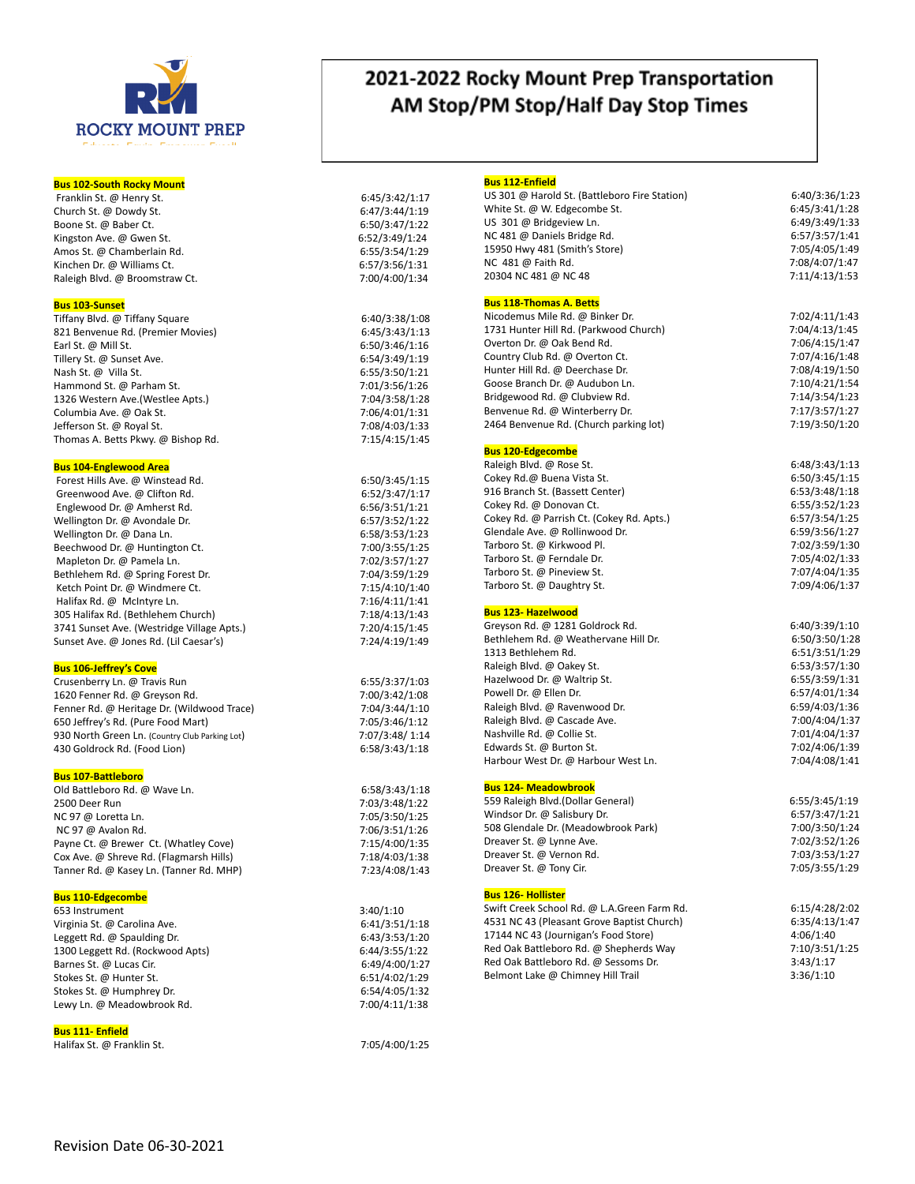

## **Bus 102-South Rocky Moun t**

Franklin St. @ Henry St. 6:45/3:42/1:17 Church St. @ Dowdy St. Boone St. @ Baber Ct. 6:50/3:47/1:22 Kings ton A ve. @ G Amos St. @ Chamberlain Rd. 6:55/3:54/1:29 Kinchen Dr. @ Williams Ct. 6:57/3:56/1:31 Raleigh Blvd. @ Broomstraw Ct.

## **Bus 103-Sunse t**

Tiffany Blvd. @ Tif fany Squar 821 Ben venue Rd. (Premier Movies) 6:45/3:43/1:13 Earl St. @ Mill St. 6:50/3:46/1:16 Tillery St. @ Sunset Ave. Nash St. @ Villa St.<br>
Hammond St. @ Parham St.<br>
7:01/3:56/1:26 Hammond St. @ Parham St. 1326 Wes tern A ve.(Westlee Apts.) 7:04/3:58/1:28 Columbia Ave. @ Oak St. Je fferson St. @ R o Thomas A. Be tts Pkw y. @ Bishop Rd. 7:15/4:15/1:45

## **Bus 104-Engle wood Area**

Forest Hills Ave. @ Winst Greenwood Ave. @ Clifton Rd. 6:52/3:47/1:17 Engle wood Dr. @ Amher Welling ton Dr. @ A Wellington Dr. @ Dana Ln. 6:58/3:53/1:23 Beech wood Dr. @ Hunting Mapleton Dr. @ Pamela Ln. 2007 202/3:57/1:27 Bethlehem Rd. @ Spring Forest Dr. 7:04/3:59/1:29 Ketch Point Dr. @ Windmere Ct. 7:15/4:10/1:40 Halif ax Rd. @ McIntyre Ln. 7:16/4:11/1:41 305 Halif ax Rd. (Bethlehem Church) 7:18/4:13/1:43 3741 Sunset A ve. (Westridge Village Apts.) 7:20/4:15/1:45 Sunset A ve. @ Jones Rd. (Lil Caesar

## **Bus 106-Jeffr e y 's Co v e**

Crusenberry Ln. @ T r 1620 Fenner Rd. @ Gr e Fenner Rd. @ Heritage Dr. (Wildwood Trace) 650 Je ffr e y 's Rd. (Pure Food Mart) 7:05/3:46/1:12 930 North Green Ln. (Country Club Parking Lot) 430 Goldrock Rd. (Food Lion) 6:58/3:43/1:18

## **Bus 107-Battleboro**

Old Ba ttleboro Rd. @ W a 2500 Deer Run 7:03/3:48/1:22 NC 97 @ Loret NC 97 @ Avalon Rd. Payne Ct. @ Brewer Ct. (Whatley Cov Cox A ve. @ Shr e ve Rd. (Flagmarsh Hills) 7:18/4:03/1:38 Tanner Rd. @ Kasey Ln. (Tanner Rd. MHP) 7:23/4:08/1:43

## **Bus 110-Edgecombe**

653 Instrumen Virginia St. @ Carolina Ave. Leg g e tt Rd. @ Spaulding Dr. 6:43/3:53/1:20 1300 Leg g e tt Rd. (Rockwood Apts) 6:44/3:55/1:22 Barnes St. @ Lucas Cir. 6:49/4:00/1:27 Stokes St. @ Hunter St. Stokes St. @ Humphrey Dr. Le wy Ln. @ Meadowbrook Rd. 7:00/4:11/1:38

## **Bus 111- Enfield**

Halif ax St. @ Franklin St. 7:05/4:00/1:25

## 2021-2022 Rocky Mount Prep Transportation AM Stop/PM Stop/Half Day Stop Times

# 6:47/3:44/1:19 wen St. 6:52/3:49/1:24 7:00/4:00/1:34

e 6:40/3:38/1:08 6:54/3:49/1:19 7:06/4:01/1:31 7:08/4:03/1:33

6:50/3:45/1:15<br>6:52/3:47/1:17 6:56/3:51/1:21 vondale Dr. 6:57/3:52/1:22 7:00/3:55/1:25 7:24/4:19/1:49 avis Run 6:55/3:37/1:03

7:00/3:42/1:08 7:04/3:44/1:10<br>7:05/3:46/1:12 ) 7:07/3:48/ 1:14

6:58/3:43/1:18 7:05/3:50/1:25 7:06/3:51/1:26 ve) 7:15/4:00/1:35

 $3:40/1:10$ 6:41/3:51/1:18 6:51/4:02/1:29 6:54/4:05/1:32

## **Bus 112-Enfield**

| US 301 @ Harold St. (Battleboro Fire Station)<br>White St. @ W. Edgecombe St.<br>US 301 @ Bridgeview Ln.<br>NC 481 @ Daniels Bridge Rd.<br>15950 Hwy 481 (Smith's Store)<br>NC 481 @ Faith Rd.<br>20304 NC 481 @ NC 48 | 6:40/3:36/1:23<br>6:45/3:41/1:28<br>6:49/3:49/1:33<br>6:57/3:57/1:41<br>7:05/4:05/1:49<br>7:08/4:07/1:47<br>7:11/4:13/1:53 |
|------------------------------------------------------------------------------------------------------------------------------------------------------------------------------------------------------------------------|----------------------------------------------------------------------------------------------------------------------------|
| <b>Bus 118-Thomas A. Betts</b>                                                                                                                                                                                         |                                                                                                                            |
| Nicodemus Mile Rd. @ Binker Dr.                                                                                                                                                                                        | 7:02/4:11/1:43                                                                                                             |
| 1731 Hunter Hill Rd. (Parkwood Church)                                                                                                                                                                                 | 7:04/4:13/1:45                                                                                                             |
| Overton Dr. @ Oak Bend Rd.                                                                                                                                                                                             | 7:06/4:15/1:47                                                                                                             |
| Country Club Rd. @ Overton Ct.                                                                                                                                                                                         | 7:07/4:16/1:48                                                                                                             |
| Hunter Hill Rd. @ Deerchase Dr.                                                                                                                                                                                        | 7:08/4:19/1:50                                                                                                             |
| Goose Branch Dr. @ Audubon Ln.                                                                                                                                                                                         | 7:10/4:21/1:54                                                                                                             |
| Bridgewood Rd. @ Clubview Rd.                                                                                                                                                                                          | 7:14/3:54/1:23                                                                                                             |
| Benvenue Rd. @ Winterberry Dr.                                                                                                                                                                                         | 7:17/3:57/1:27                                                                                                             |
| 2464 Benvenue Rd. (Church parking lot)                                                                                                                                                                                 | 7:19/3:50/1:20                                                                                                             |
| <b>Bus 120-Edgecombe</b>                                                                                                                                                                                               |                                                                                                                            |
| Raleigh Blvd. @ Rose St.                                                                                                                                                                                               | 6:48/3:43/1:13                                                                                                             |
| Cokey Rd.@ Buena Vista St.                                                                                                                                                                                             | 6:50/3:45/1:15                                                                                                             |
| 916 Branch St. (Bassett Center)                                                                                                                                                                                        | 6:53/3:48/1:18                                                                                                             |
| Cokey Rd. @ Donovan Ct.                                                                                                                                                                                                | 6:55/3:52/1:23                                                                                                             |
| Cokey Rd. @ Parrish Ct. (Cokey Rd. Apts.)                                                                                                                                                                              | 6:57/3:54/1:25                                                                                                             |
| Glendale Ave. @ Rollinwood Dr.                                                                                                                                                                                         | 6:59/3:56/1:27                                                                                                             |
| Tarboro St. @ Kirkwood Pl.                                                                                                                                                                                             | 7:02/3:59/1:30                                                                                                             |
| Tarboro St. @ Ferndale Dr.                                                                                                                                                                                             | 7:05/4:02/1:33                                                                                                             |
| Tarboro St. @ Pineview St.                                                                                                                                                                                             | 7:07/4:04/1:35                                                                                                             |
| Tarboro St. @ Daughtry St.                                                                                                                                                                                             | 7:09/4:06/1:37                                                                                                             |
| <b>Bus 123- Hazelwood</b>                                                                                                                                                                                              |                                                                                                                            |
| Greyson Rd. @ 1281 Goldrock Rd.                                                                                                                                                                                        | 6:40/3:39/1:10                                                                                                             |
| Bethlehem Rd. @ Weathervane Hill Dr.                                                                                                                                                                                   | 6:50/3:50/1:28                                                                                                             |
| 1313 Bethlehem Rd.                                                                                                                                                                                                     | 6:51/3:51/1:29                                                                                                             |
| Raleigh Blvd. @ Oakey St.                                                                                                                                                                                              | 6:53/3:57/1:30                                                                                                             |
| Hazelwood Dr. @ Waltrip St.                                                                                                                                                                                            | 6:55/3:59/1:31                                                                                                             |
| Powell Dr. @ Ellen Dr.                                                                                                                                                                                                 | 6:57/4:01/1:34                                                                                                             |
| Raleigh Blvd. @ Ravenwood Dr.                                                                                                                                                                                          | 6:59/4:03/1:36                                                                                                             |
| Raleigh Blvd. @ Cascade Ave.                                                                                                                                                                                           | 7:00/4:04/1:37                                                                                                             |
| Nashville Rd. @ Collie St.                                                                                                                                                                                             | 7:01/4:04/1:37                                                                                                             |
| Edwards St. @ Burton St.                                                                                                                                                                                               | 7:02/4:06/1:39                                                                                                             |
| Harbour West Dr. @ Harbour West Ln.                                                                                                                                                                                    | 7:04/4:08/1:41                                                                                                             |
| <b>Bus 124- Meadowbrook</b>                                                                                                                                                                                            |                                                                                                                            |
| 559 Raleigh Blvd.(Dollar General)                                                                                                                                                                                      | 6:55/3:45/1:19                                                                                                             |
| Windsor Dr. @ Salisbury Dr.                                                                                                                                                                                            | 6:57/3:47/1:21                                                                                                             |
| 508 Glendale Dr. (Meadowbrook Park)                                                                                                                                                                                    | 7:00/3:50/1:24                                                                                                             |
| Dreaver St. @ Lynne Ave.                                                                                                                                                                                               | 7:02/3:52/1:26                                                                                                             |
| Dreaver St. @ Vernon Rd.                                                                                                                                                                                               | 7:03/3:53/1:27                                                                                                             |
| Dreaver St. @ Tony Cir.                                                                                                                                                                                                | 7:05/3:55/1:29                                                                                                             |
|                                                                                                                                                                                                                        |                                                                                                                            |

### **Bus 126- Hollis ter**

Swift Creek School Rd. @ L. A.Green Farm Rd. 6:15/4:28/2:02 4531 NC 43 (Pleasant Gr o ve Baptist Church) 6:35/4:13/1:47 17144 NC 43 (Journigan's Food Store) 4:06/1:40 Red Oak Battleboro Rd. @ Shepherds Way 7:10/3:51/1:25 Red Oak Battleboro Rd. @ Sessoms Dr. 1997 13:43/1:17 Belmont Lake @ Chimney Hill T

 $3:36/1:10$